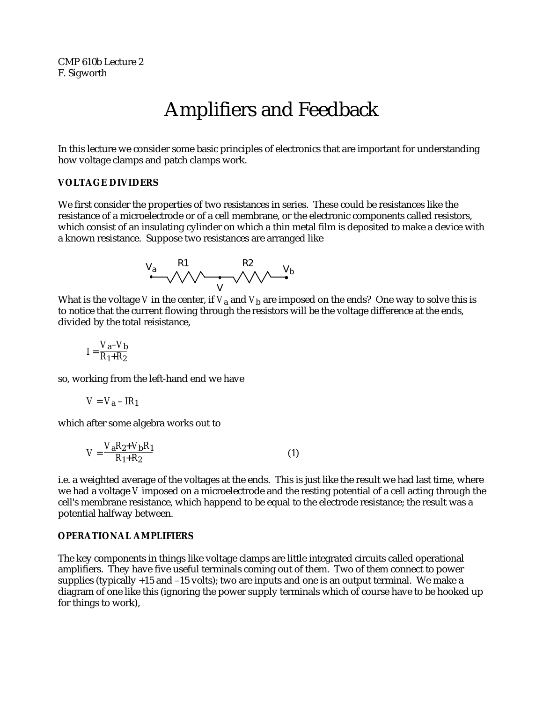CMP 610b Lecture 2 F. Sigworth

# Amplifiers and Feedback

In this lecture we consider some basic principles of electronics that are important for understanding how voltage clamps and patch clamps work.

## **VOLTAGE DIVIDERS**

We first consider the properties of two resistances in series. These could be resistances like the resistance of a microelectrode or of a cell membrane, or the electronic components called resistors, which consist of an insulating cylinder on which a thin metal film is deposited to make a device with a known resistance. Suppose two resistances are arranged like

$$
\begin{array}{ccc}\nV_a & R1 & R2 & V_b \\
\hline\n\end{array}
$$

What is the voltage *V* in the center, if  $V_a$  and  $V_b$  are imposed on the ends? One way to solve this is to notice that the current flowing through the resistors will be the voltage difference at the ends, divided by the total reisistance,

$$
I = \frac{V_a - V_b}{R_1 + R_2}
$$

so, working from the left-hand end we have

$$
V = V_{\mathbf{a}} - IR_{\mathbf{1}}
$$

which after some algebra works out to

$$
V = \frac{V_a R_2 + V_b R_1}{R_1 + R_2}
$$
 (1)

i.e. a weighted average of the voltages at the ends. This is just like the result we had last time, where we had a voltage *V* imposed on a microelectrode and the resting potential of a cell acting through the cell's membrane resistance, which happend to be equal to the electrode resistance; the result was a potential halfway between.

# **OPERATIONAL AMPLIFIERS**

The key components in things like voltage clamps are little integrated circuits called operational amplifiers. They have five useful terminals coming out of them. Two of them connect to power supplies (typically +15 and –15 volts); two are inputs and one is an output terminal. We make a diagram of one like this (ignoring the power supply terminals which of course have to be hooked up for things to work),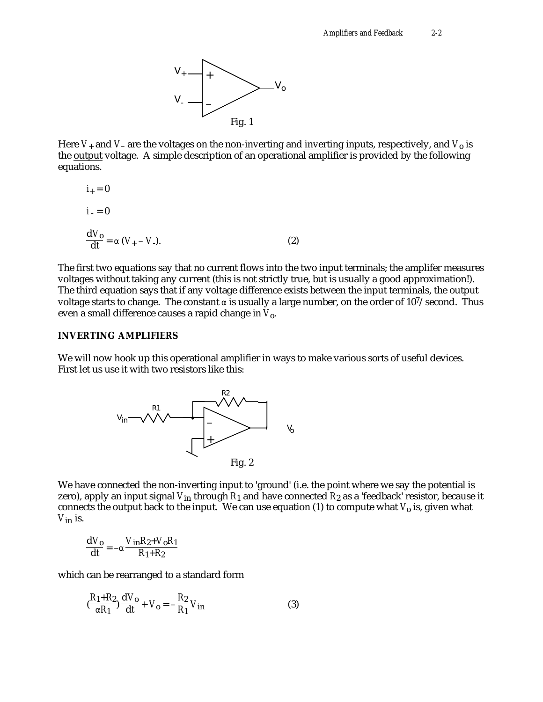

Here  $V_+$  and  $V_-$  are the voltages on the non-inverting and inverting inputs, respectively, and  $V_0$  is the **output** voltage. A simple description of an operational amplifier is provided by the following equations.

$$
i_{+} = 0
$$
  
\n
$$
i_{-} = 0
$$
  
\n
$$
\frac{dV_{o}}{dt} = (V_{+} - V_{-}).
$$
\n(2)

The first two equations say that no current flows into the two input terminals; the amplifer measures voltages without taking any current (this is not strictly true, but is usually a good approximation!). The third equation says that if any voltage difference exists between the input terminals, the output voltage starts to change. The constant is usually a large number, on the order of  $10^7$ /second. Thus even a small difference causes a rapid change in *V*o.

## **INVERTING AMPLIFIERS**

We will now hook up this operational amplifier in ways to make various sorts of useful devices. First let us use it with two resistors like this:



We have connected the non-inverting input to 'ground' (i.e. the point where we say the potential is zero), apply an input signal *V*in through *R*1 and have connected *R*2 as a 'feedback' resistor, because it connects the output back to the input. We can use equation  $(1)$  to compute what  $V_0$  is, given what *V*in is.

$$
\frac{\mathrm{d}V_0}{\mathrm{d}t} = -\frac{V_{\rm in}R_2 + V_0R_1}{R_1 + R_2}
$$

which can be rearranged to a standard form

$$
\left(\frac{R_1 + R_2}{R_1}\right)\frac{\mathrm{d}V_0}{\mathrm{d}t} + V_0 = -\frac{R_2}{R_1}V_{\rm in}
$$
 (3)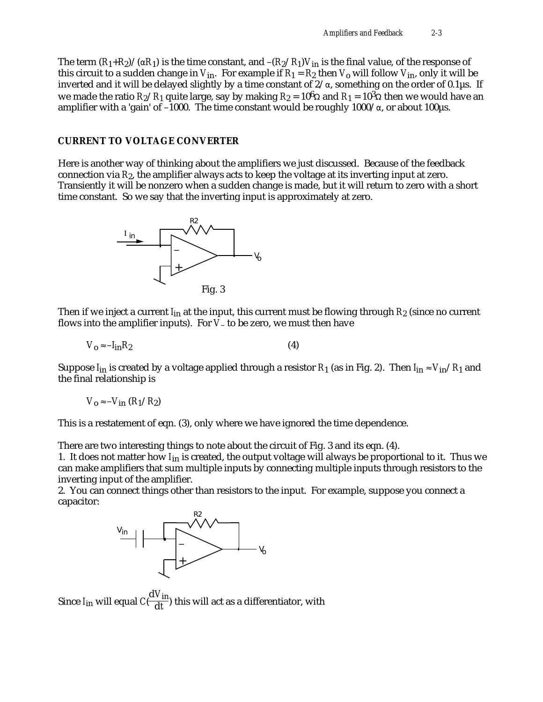The term  $(R_1+R_2)/(R_1)$  is the time constant, and  $-(R_2/R_1)V_{\text{in}}$  is the final value, of the response of this circuit to a sudden change in  $V_{in}$ . For example if  $R_1 = R_2$  then  $V_0$  will follow  $V_{in}$ , only it will be inverted and it will be delayed slightly by a time constant of 2/ , something on the order of 0.1µs. If we made the ratio  $R_2/R_1$  quite large, say by making  $R_2 = 10^6$  and  $R_1 = 10^3$  then we would have an amplifier with a 'gain' of -1000. The time constant would be roughly 1000/, or about 100us.

# **CURRENT TO VOLTAGE CONVERTER**

Here is another way of thinking about the amplifiers we just discussed. Because of the feedback connection via *R*2, the amplifier always acts to keep the voltage at its inverting input at zero. Transiently it will be nonzero when a sudden change is made, but it will return to zero with a short time constant. So we say that the inverting input is approximately at zero.



Then if we inject a current *I*in at the input, this current must be flowing through *R*2 (since no current flows into the amplifier inputs). For *V*– to be zero, we must then have

$$
V_0 - I_{\rm in} R_2 \tag{4}
$$

Suppose  $I_{in}$  is created by a voltage applied through a resistor  $R_1$  (as in Fig. 2). Then  $I_{in}$   $V_{in}/R_1$  and the final relationship is

$$
V_0 - V_{\rm in} (R_1/R_2)
$$

This is a restatement of eqn. (3), only where we have ignored the time dependence.

There are two interesting things to note about the circuit of Fig. 3 and its eqn. (4).

1. It does not matter how *I*in is created, the output voltage will always be proportional to it. Thus we can make amplifiers that sum multiple inputs by connecting multiple inputs through resistors to the inverting input of the amplifier.

2. You can connect things other than resistors to the input. For example, suppose you connect a capacitor:



Since *I*in will equal *C*( d*V*in  $\frac{1}{\text{d}t}$ ) this will act as a differentiator, with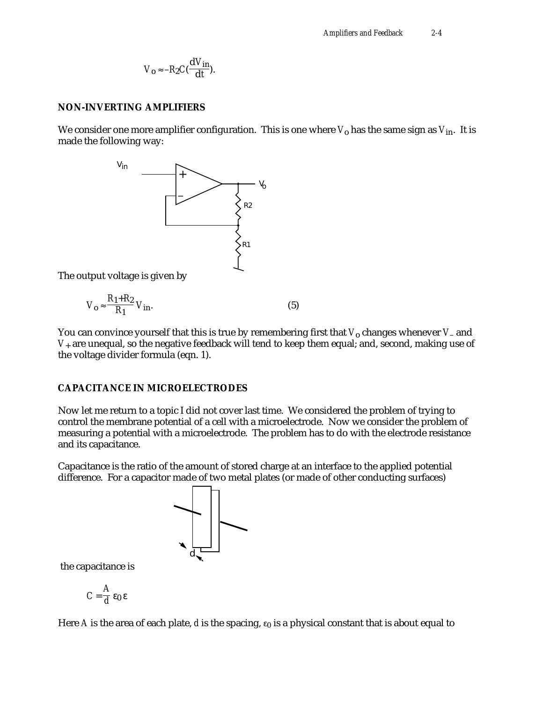$$
V_{\mathbf{0}} - R_2 C(\frac{\mathbf{d} V_{\mathbf{in}}}{\mathbf{d} t}).
$$

#### **NON-INVERTING AMPLIFIERS**

We consider one more amplifier configuration. This is one where  $V_0$  has the same sign as  $V_{in}$ . It is made the following way:



The output voltage is given by

$$
V_o \quad \frac{R_1 + R_2}{R_1} V_{in}.
$$

You can convince yourself that this is true by remembering first that  $V_0$  changes whenever *V*– and *V*+ are unequal, so the negative feedback will tend to keep them equal; and, second, making use of the voltage divider formula (eqn. 1).

#### **CAPACITANCE IN MICROELECTRODES**

Now let me return to a topic I did not cover last time. We considered the problem of trying to control the membrane potential of a cell with a microelectrode. Now we consider the problem of measuring a potential with a microelectrode. The problem has to do with the electrode resistance and its capacitance.

Capacitance is the ratio of the amount of stored charge at an interface to the applied potential difference. For a capacitor made of two metal plates (or made of other conducting surfaces)



the capacitance is

$$
C = \frac{A}{d} \quad \mathbf{0}
$$

Here A is the area of each plate,  $d$  is the spacing,  $\theta$  is a physical constant that is about equal to